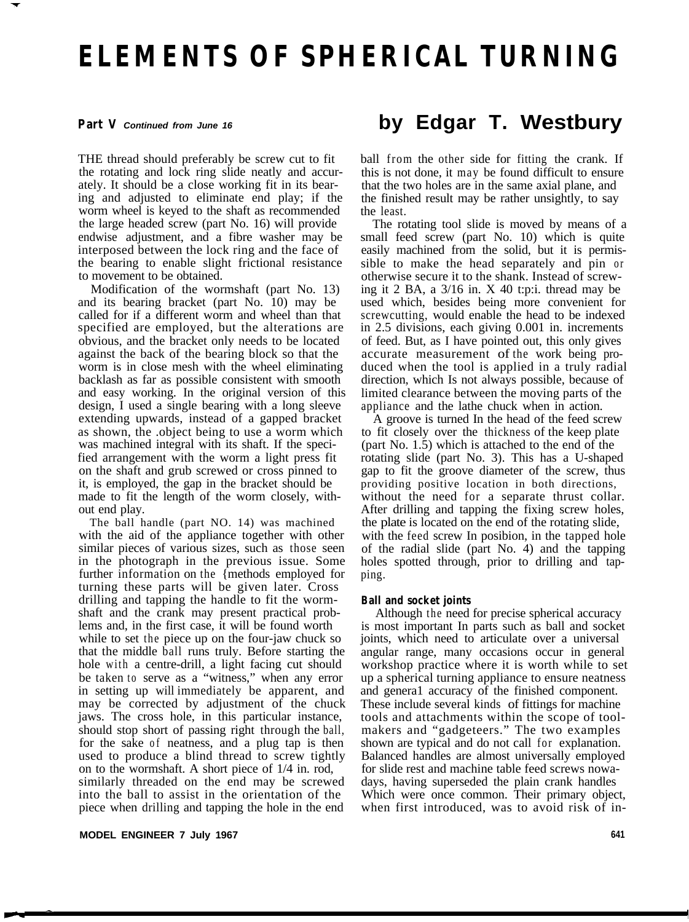# **ELEMENTS OF SPHERICAL TURNING**

# **Part V** *Continued from June 16*

THE thread should preferably be screw cut to fit the rotating and lock ring slide neatly and accurately. It should be a close working fit in its bearing and adjusted to eliminate end play; if the worm wheel is keyed to the shaft as recommended the large headed screw (part No. 16) will provide endwise adjustment, and a fibre washer may be interposed between the lock ring and the face of the bearing to enable slight frictional resistance to movement to be obtained.

Modification of the wormshaft (part No. 13) and its bearing bracket (part No. 10) may be called for if a different worm and wheel than that specified are employed, but the alterations are obvious, and the bracket only needs to be located against the back of the bearing block so that the worm is in close mesh with the wheel eliminating backlash as far as possible consistent with smooth and easy working. In the original version of this design, I used a single bearing with a long sleeve extending upwards, instead of a gapped bracket as shown, the .object being to use a worm which was machined integral with its shaft. If the specified arrangement with the worm a light press fit on the shaft and grub screwed or cross pinned to it, is employed, the gap in the bracket should be made to fit the length of the worm closely, without end play.

The ball handle (part NO. 14) was machined with the aid of the appliance together with other similar pieces of various sizes, such as those seen in the photograph in the previous issue. Some further information on the {methods employed for turning these parts will be given later. Cross drilling and tapping the handle to fit the wormshaft and the crank may present practical problems and, in the first case, it will be found worth while to set the piece up on the four-jaw chuck so that the middle ball runs truly. Before starting the hole with a centre-drill, a light facing cut should be taken to serve as a "witness," when any error in setting up will immediately be apparent, and may be corrected by adjustment of the chuck jaws. The cross hole, in this particular instance, should stop short of passing right through the ball, for the sake of neatness, and a plug tap is then used to produce a blind thread to screw tightly on to the wormshaft. A short piece of 1/4 in. rod, similarly threaded on the end may be screwed into the ball to assist in the orientation of the piece when drilling and tapping the hole in the end

#### **MODEL ENGINEER 7 July 1967**

# **by Edgar T. Westbury**

ball from the other side for fitting the crank. If this is not done, it may be found difficult to ensure that the two holes are in the same axial plane, and the finished result may be rather unsightly, to say the least.

The rotating tool slide is moved by means of a small feed screw (part No. 10) which is quite easily machined from the solid, but it is permissible to make the head separately and pin or otherwise secure it to the shank. Instead of screwing it 2 BA, a 3/16 in. X 40 t:p:i. thread may be used which, besides being more convenient for screwcutting, would enable the head to be indexed in 2.5 divisions, each giving 0.001 in. increments of feed. But, as I have pointed out, this only gives accurate measurement of the work being produced when the tool is applied in a truly radial direction, which Is not always possible, because of limited clearance between the moving parts of the appliance and the lathe chuck when in action.

A groove is turned In the head of the feed screw to fit closely over the thickness of the keep plate (part No. 1.5) which is attached to the end of the rotating slide (part No. 3). This has a U-shaped gap to fit the groove diameter of the screw, thus providing positive location in both directions, without the need for a separate thrust collar. After drilling and tapping the fixing screw holes, the plate is located on the end of the rotating slide, with the feed screw In posibion, in the tapped hole of the radial slide (part No. 4) and the tapping holes spotted through, prior to drilling and tapping.

#### **Ball and socket joints**

Although the need for precise spherical accuracy is most important In parts such as ball and socket joints, which need to articulate over a universal angular range, many occasions occur in general workshop practice where it is worth while to set up a spherical turning appliance to ensure neatness and genera1 accuracy of the finished component. These include several kinds of fittings for machine tools and attachments within the scope of toolmakers and "gadgeteers." The two examples shown are typical and do not call for explanation. Balanced handles are almost universally employed for slide rest and machine table feed screws nowadays, having superseded the plain crank handles Which were once common. Their primary object, when first introduced, was to avoid risk of in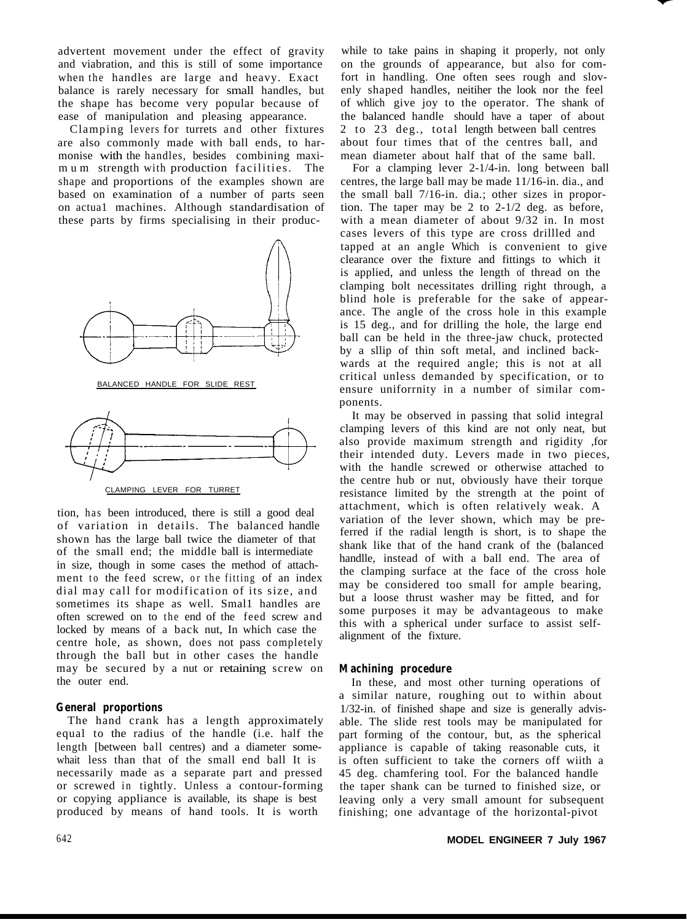advertent movement under the effect of gravity and viabration, and this is still of some importance when the handles are large and heavy. Exact balance is rarely necessary for small handles, but the shape has become very popular because of ease of manipulation and pleasing appearance.

Clamping levers for turrets and other fixtures are also commonly made with ball ends, to harmonise with the handles, besides combining maxim u m strength with production facilities. The shape and proportions of the examples shown are based on examination of a number of parts seen on actua1 machines. Although standardisation of these parts by firms specialising in their produc-



CLAMPING LEVER FOR TURRET

tion, has been introduced, there is still a good deal of variation in details. The balanced handle shown has the large ball twice the diameter of that of the small end; the middle ball is intermediate in size, though in some cases the method of attachment to the feed screw, or the fitting of an index dial may call for modification of its size, and sometimes its shape as well. Small handles are often screwed on to the end of the feed screw and locked by means of a back nut, In which case the centre hole, as shown, does not pass completely through the ball but in other cases the handle may be secured by a nut or retaining screw on the outer end.

# **General proportions**

The hand crank has a length approximately equal to the radius of the handle (i.e. half the length [between ball centres) and a diameter somewhait less than that of the small end ball It is necessarily made as a separate part and pressed or screwed in tightly. Unless a contour-forming or copying appliance is available, its shape is best produced by means of hand tools. It is worth

while to take pains in shaping it properly, not only on the grounds of appearance, but also for comfort in handling. One often sees rough and slovenly shaped handles, neitiher the look nor the feel of whlich give joy to the operator. The shank of the balanced handle should have a taper of about 2 to 23 deg., total length between ball centres about four times that of the centres ball, and mean diameter about half that of the same ball.

For a clamping lever 2-1/4-in. long between ball centres, the large ball may be made 11/16-in. dia., and the small ball 7/16-in. dia.; other sizes in proportion. The taper may be 2 to 2-1/2 deg. as before, with a mean diameter of about 9/32 in. In most cases levers of this type are cross drillled and tapped at an angle Which is convenient to give clearance over the fixture and fittings to which it is applied, and unless the length of thread on the clamping bolt necessitates drilling right through, a blind hole is preferable for the sake of appearance. The angle of the cross hole in this example is 15 deg., and for drilling the hole, the large end ball can be held in the three-jaw chuck, protected by a sllip of thin soft metal, and inclined backwards at the required angle; this is not at all critical unless demanded by specification, or to ensure uniforrnity in a number of similar components.

It may be observed in passing that solid integral clamping levers of this kind are not only neat, but also provide maximum strength and rigidity ,for their intended duty. Levers made in two pieces, with the handle screwed or otherwise attached to the centre hub or nut, obviously have their torque resistance limited by the strength at the point of attachment, which is often relatively weak. A variation of the lever shown, which may be preferred if the radial length is short, is to shape the shank like that of the hand crank of the (balanced handlle, instead of with a ball end. The area of the clamping surface at the face of the cross hole may be considered too small for ample bearing, but a loose thrust washer may be fitted, and for some purposes it may be advantageous to make this with a spherical under surface to assist selfalignment of the fixture.

# **Machining procedure**

In these, and most other turning operations of a similar nature, roughing out to within about 1/32-in. of finished shape and size is generally advisable. The slide rest tools may be manipulated for part forming of the contour, but, as the spherical appliance is capable of taking reasonable cuts, it is often sufficient to take the corners off wiith a 45 deg. chamfering tool. For the balanced handle the taper shank can be turned to finished size, or leaving only a very small amount for subsequent finishing; one advantage of the horizontal-pivot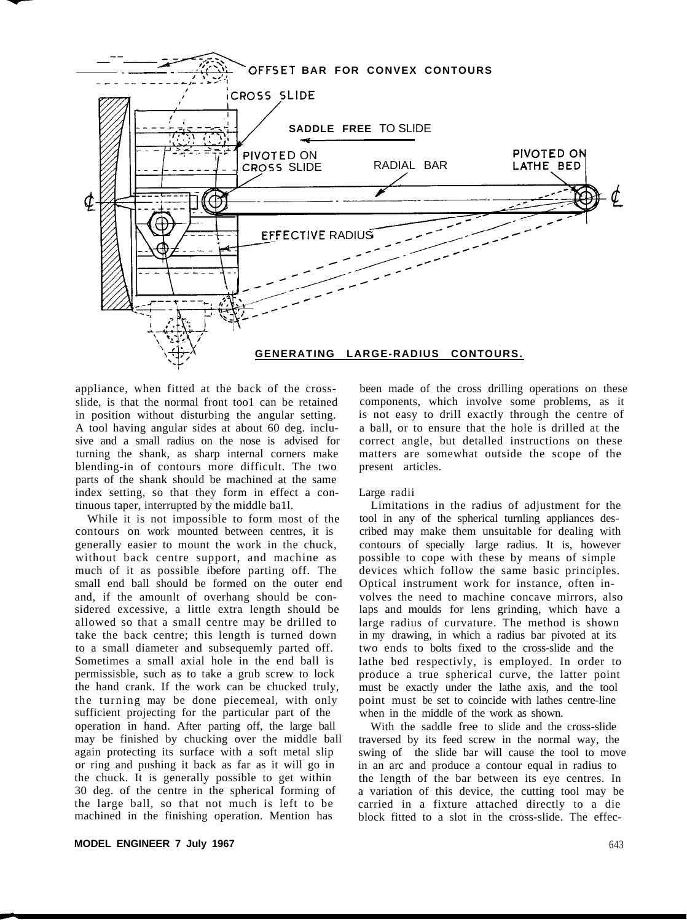

appliance, when fitted at the back of the crossslide, is that the normal front too1 can be retained in position without disturbing the angular setting. A tool having angular sides at about 60 deg. inclusive and a small radius on the nose is advised for turning the shank, as sharp internal corners make blending-in of contours more difficult. The two parts of the shank should be machined at the same index setting, so that they form in effect a continuous taper, interrupted by the middle ba1l.

While it is not impossible to form most of the contours on work mounted between centres, it is generally easier to mount the work in the chuck, without back centre support, and machine as much of it as possible ibefore parting off. The small end ball should be formed on the outer end and, if the amounlt of overhang should be considered excessive, a little extra length should be allowed so that a small centre may be drilled to take the back centre; this length is turned down to a small diameter and subsequemly parted off. Sometimes a small axial hole in the end ball is permissisble, such as to take a grub screw to lock the hand crank. If the work can be chucked truly, the turning may be done piecemeal, with only sufficient projecting for the particular part of the operation in hand. After parting off, the large ball may be finished by chucking over the middle ball again protecting its surface with a soft metal slip or ring and pushing it back as far as it will go in the chuck. It is generally possible to get within 30 deg. of the centre in the spherical forming of the large ball, so that not much is left to be machined in the finishing operation. Mention has

been made of the cross drilling operations on these components, which involve some problems, as it is not easy to drill exactly through the centre of a ball, or to ensure that the hole is drilled at the correct angle, but detalled instructions on these matters are somewhat outside the scope of the present articles.

#### Large radii

Limitations in the radius of adjustment for the tool in any of the spherical turnling appliances described may make them unsuitable for dealing with contours of specially large radius. It is, however possible to cope with these by means of simple devices which follow the same basic principles. Optical instrument work for instance, often involves the need to machine concave mirrors, also laps and moulds for lens grinding, which have a large radius of curvature. The method is shown in my drawing, in which a radius bar pivoted at its two ends to bolts fixed to the cross-slide and the lathe bed respectivly, is employed. In order to produce a true spherical curve, the latter point must be exactly under the lathe axis, and the tool point must be set to coincide with lathes centre-line when in the middle of the work as shown.

With the saddle free to slide and the cross-slide traversed by its feed screw in the normal way, the swing of the slide bar will cause the tool to move in an arc and produce a contour equal in radius to the length of the bar between its eye centres. In a variation of this device, the cutting tool may be carried in a fixture attached directly to a die block fitted to a slot in the cross-slide. The effec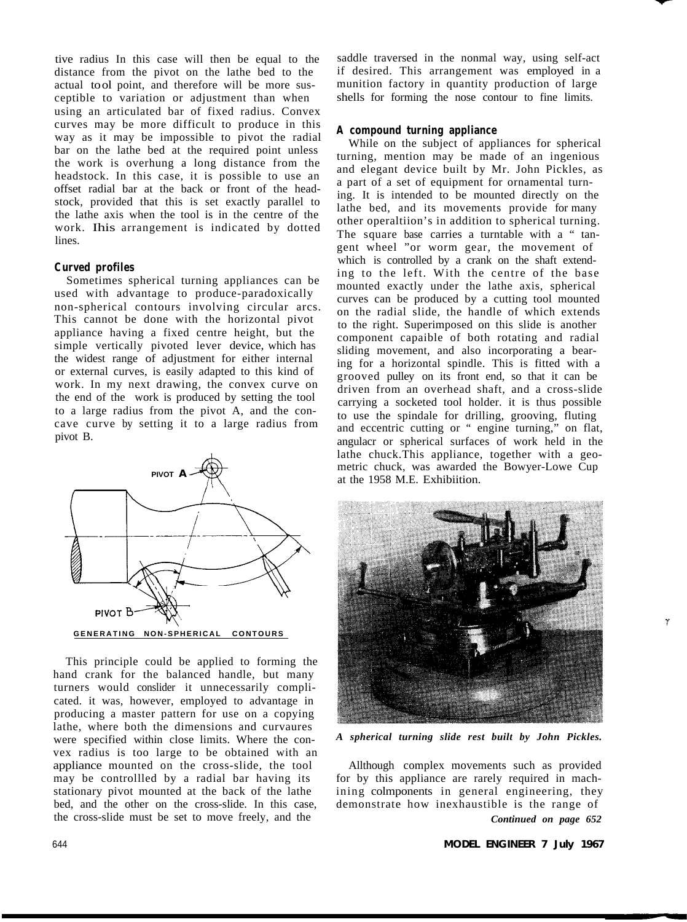tive radius In this case will then be equal to the distance from the pivot on the lathe bed to the actual tool point, and therefore will be more susceptible to variation or adjustment than when using an articulated bar of fixed radius. Convex curves may be more difficult to produce in this way as it may be impossible to pivot the radial bar on the lathe bed at the required point unless the work is overhung a long distance from the headstock. In this case, it is possible to use an offset radial bar at the back or front of the headstock, provided that this is set exactly parallel to the lathe axis when the tool is in the centre of the work. Ihis arrangement is indicated by dotted lines.

#### **Curved profiles**

Sometimes spherical turning appliances can be used with advantage to produce-paradoxically non-spherical contours involving circular arcs. This cannot be done with the horizontal pivot appliance having a fixed centre height, but the simple vertically pivoted lever device, which has the widest range of adjustment for either internal or external curves, is easily adapted to this kind of work. In my next drawing, the convex curve on the end of the work is produced by setting the tool to a large radius from the pivot A, and the concave curve by setting it to a large radius from pivot B.



This principle could be applied to forming the hand crank for the balanced handle, but many turners would conslider it unnecessarily complicated. it was, however, employed to advantage in producing a master pattern for use on a copying lathe, where both the dimensions and curvaures were specified within close limits. Where the convex radius is too large to be obtained with an appliance mounted on the cross-slide, the tool may be controllled by a radial bar having its stationary pivot mounted at the back of the lathe bed, and the other on the cross-slide. In this case, the cross-slide must be set to move freely, and the

saddle traversed in the nonmal way, using self-act if desired. This arrangement was employed in a munition factory in quantity production of large shells for forming the nose contour to fine limits.

#### **A compound turning appliance**

While on the subject of appliances for spherical turning, mention may be made of an ingenious and elegant device built by Mr. John Pickles, as a part of a set of equipment for ornamental turning. It is intended to be mounted directly on the lathe bed, and its movements provide for many other operaltiion's in addition to spherical turning. The square base carries a turntable with a " tangent wheel "or worm gear, the movement of which is controlled by a crank on the shaft extending to the left. With the centre of the base mounted exactly under the lathe axis, spherical curves can be produced by a cutting tool mounted on the radial slide, the handle of which extends to the right. Superimposed on this slide is another component capaible of both rotating and radial sliding movement, and also incorporating a bearing for a horizontal spindle. This is fitted with a grooved pulley on its front end, so that it can be driven from an overhead shaft, and a cross-slide carrying a socketed tool holder. it is thus possible to use the spindale for drilling, grooving, fluting and eccentric cutting or " engine turning," on flat, angulacr or spherical surfaces of work held in the lathe chuck.This appliance, together with a geometric chuck, was awarded the Bowyer-Lowe Cup at the 1958 M.E. Exhibiition.



*A spherical turning slide rest built by John Pickles.*

Allthough complex movements such as provided for by this appliance are rarely required in machining colmponents in general engineering, they demonstrate how inexhaustible is the range of *Continued on page 652*

644 **MODEL ENGINEER 7 July 1967**